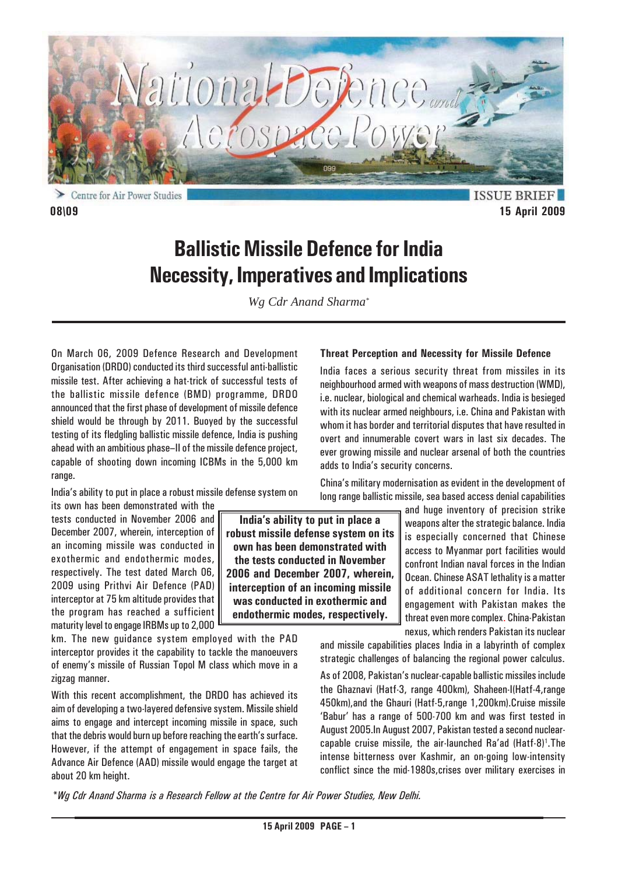

Centre for Air Power Studies

**ISSUE BRIEF 08\09 15 April 2009**

# **Ballistic Missile Defence for India Necessity, Imperatives and Implications**

*Wg Cdr Anand Sharma\**

On March 06, 2009 Defence Research and Development Organisation (DRDO) conducted its third successful anti-ballistic missile test. After achieving a hat-trick of successful tests of the ballistic missile defence (BMD) programme, DRDO announced that the first phase of development of missile defence shield would be through by 2011. Buoyed by the successful testing of its fledgling ballistic missile defence, India is pushing ahead with an ambitious phase–II of the missile defence project, capable of shooting down incoming ICBMs in the 5,000 km range.

India's ability to put in place a robust missile defense system on its own has been demonstrated with the

tests conducted in November 2006 and December 2007, wherein, interception of an incoming missile was conducted in exothermic and endothermic modes, respectively. The test dated March 06, 2009 using Prithvi Air Defence (PAD) interceptor at 75 km altitude provides that the program has reached a sufficient maturity level to engage IRBMs up to 2,000

km. The new guidance system employed with the PAD interceptor provides it the capability to tackle the manoeuvers of enemy's missile of Russian Topol M class which move in a zigzag manner.

With this recent accomplishment, the DRDO has achieved its aim of developing a two-layered defensive system. Missile shield aims to engage and intercept incoming missile in space, such that the debris would burn up before reaching the earth's surface. However, if the attempt of engagement in space fails, the Advance Air Defence (AAD) missile would engage the target at about 20 km height.

**India's ability to put in place a robust missile defense system on its own has been demonstrated with the tests conducted in November 2006 and December 2007, wherein, interception of an incoming missile was conducted in exothermic and endothermic modes, respectively.**

### **Threat Perception and Necessity for Missile Defence**

India faces a serious security threat from missiles in its neighbourhood armed with weapons of mass destruction (WMD), i.e. nuclear, biological and chemical warheads. India is besieged with its nuclear armed neighbours, i.e. China and Pakistan with whom it has border and territorial disputes that have resulted in overt and innumerable covert wars in last six decades. The ever growing missile and nuclear arsenal of both the countries adds to India's security concerns.

China's military modernisation as evident in the development of long range ballistic missile, sea based access denial capabilities

> and huge inventory of precision strike weapons alter the strategic balance. India is especially concerned that Chinese access to Myanmar port facilities would confront Indian naval forces in the Indian Ocean. Chinese ASAT lethality is a matter of additional concern for India. Its engagement with Pakistan makes the threat even more complex. China-Pakistan nexus, which renders Pakistan its nuclear

and missile capabilities places India in a labyrinth of complex strategic challenges of balancing the regional power calculus.

As of 2008, Pakistan's nuclear-capable ballistic missiles include the Ghaznavi (Hatf-3, range 400km), Shaheen-I(Hatf-4,range 450km),and the Ghauri (Hatf-5,range 1,200km).Cruise missile 'Babur' has a range of 500-700 km and was first tested in August 2005.In August 2007, Pakistan tested a second nuclearcapable cruise missile, the air-launched Ra'ad (Hatf-8)<sup>1</sup>.The intense bitterness over Kashmir, an on-going low-intensity conflict since the mid-1980s,crises over military exercises in

*\*Wg Cdr Anand Sharma is a Research Fellow at the Centre for Air Power Studies, New Delhi.*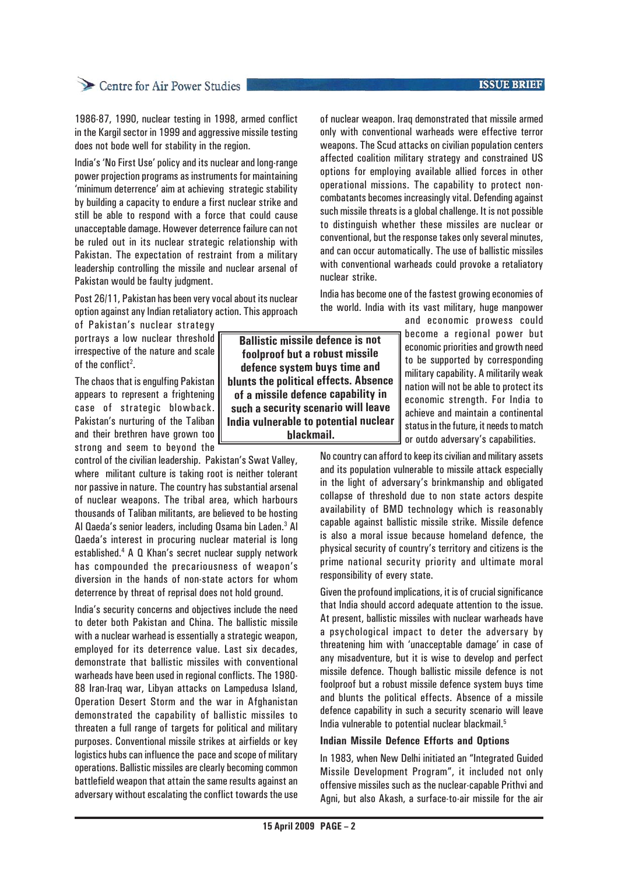### **ISSUE BRIEF**

# Centre for Air Power Studies

1986-87, 1990, nuclear testing in 1998, armed conflict in the Kargil sector in 1999 and aggressive missile testing does not bode well for stability in the region.

India's 'No First Use' policy and its nuclear and long-range power projection programs as instruments for maintaining 'minimum deterrence' aim at achieving strategic stability by building a capacity to endure a first nuclear strike and still be able to respond with a force that could cause unacceptable damage. However deterrence failure can not be ruled out in its nuclear strategic relationship with Pakistan. The expectation of restraint from a military leadership controlling the missile and nuclear arsenal of Pakistan would be faulty judgment.

Post 26/11, Pakistan has been very vocal about its nuclear option against any Indian retaliatory action. This approach

of Pakistan's nuclear strategy portrays a low nuclear threshold irrespective of the nature and scale of the conflict<sup>2</sup>.

The chaos that is engulfing Pakistan appears to represent a frightening case of strategic blowback. Pakistan's nurturing of the Taliban and their brethren have grown too strong and seem to beyond the

control of the civilian leadership. Pakistan's Swat Valley, where militant culture is taking root is neither tolerant nor passive in nature. The country has substantial arsenal of nuclear weapons. The tribal area, which harbours thousands of Taliban militants, are believed to be hosting Al Qaeda's senior leaders, including Osama bin Laden.<sup>3</sup> Al Qaeda's interest in procuring nuclear material is long established.4 A Q Khan's secret nuclear supply network has compounded the precariousness of weapon's diversion in the hands of non-state actors for whom deterrence by threat of reprisal does not hold ground.

India's security concerns and objectives include the need to deter both Pakistan and China. The ballistic missile with a nuclear warhead is essentially a strategic weapon, employed for its deterrence value. Last six decades, demonstrate that ballistic missiles with conventional warheads have been used in regional conflicts. The 1980- 88 Iran-Iraq war, Libyan attacks on Lampedusa Island, Operation Desert Storm and the war in Afghanistan demonstrated the capability of ballistic missiles to threaten a full range of targets for political and military purposes. Conventional missile strikes at airfields or key logistics hubs can influence the pace and scope of military operations. Ballistic missiles are clearly becoming common battlefield weapon that attain the same results against an adversary without escalating the conflict towards the use

**Ballistic missile defence is not foolproof but a robust missile defence system buys time and blunts the political effects. Absence of a missile defence capability in such a security scenario will leave India vulnerable to potential nuclear blackmail.**

of nuclear weapon. Iraq demonstrated that missile armed only with conventional warheads were effective terror weapons. The Scud attacks on civilian population centers affected coalition military strategy and constrained US options for employing available allied forces in other operational missions. The capability to protect noncombatants becomes increasingly vital. Defending against such missile threats is a global challenge. It is not possible to distinguish whether these missiles are nuclear or conventional, but the response takes only several minutes, and can occur automatically. The use of ballistic missiles with conventional warheads could provoke a retaliatory nuclear strike.

India has become one of the fastest growing economies of the world. India with its vast military, huge manpower

> and economic prowess could become a regional power but economic priorities and growth need to be supported by corresponding military capability. A militarily weak nation will not be able to protect its economic strength. For India to achieve and maintain a continental status in the future, it needs to match or outdo adversary's capabilities.

No country can afford to keep its civilian and military assets and its population vulnerable to missile attack especially in the light of adversary's brinkmanship and obligated collapse of threshold due to non state actors despite availability of BMD technology which is reasonably capable against ballistic missile strike. Missile defence is also a moral issue because homeland defence, the physical security of country's territory and citizens is the prime national security priority and ultimate moral responsibility of every state.

Given the profound implications, it is of crucial significance that India should accord adequate attention to the issue. At present, ballistic missiles with nuclear warheads have a psychological impact to deter the adversary by threatening him with 'unacceptable damage' in case of any misadventure, but it is wise to develop and perfect missile defence. Though ballistic missile defence is not foolproof but a robust missile defence system buys time and blunts the political effects. Absence of a missile defence capability in such a security scenario will leave India vulnerable to potential nuclear blackmail.<sup>5</sup>

### **Indian Missile Defence Efforts and Options**

In 1983, when New Delhi initiated an "Integrated Guided Missile Development Program", it included not only offensive missiles such as the nuclear-capable Prithvi and Agni, but also Akash, a surface-to-air missile for the air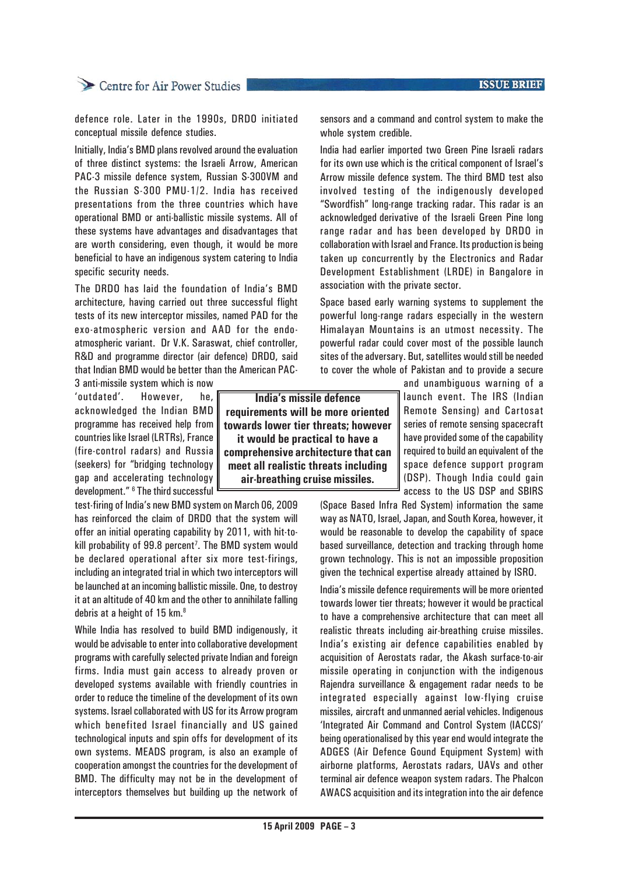### **ISSUE BRIEF**

## Centre for Air Power Studies

defence role. Later in the 1990s, DRDO initiated conceptual missile defence studies.

Initially, India's BMD plans revolved around the evaluation of three distinct systems: the Israeli Arrow, American PAC-3 missile defence system, Russian S-300VM and the Russian S-300 PMU-1/2. India has received presentations from the three countries which have operational BMD or anti-ballistic missile systems. All of these systems have advantages and disadvantages that are worth considering, even though, it would be more beneficial to have an indigenous system catering to India specific security needs.

The DRDO has laid the foundation of India's BMD architecture, having carried out three successful flight tests of its new interceptor missiles, named PAD for the exo-atmospheric version and AAD for the endoatmospheric variant. Dr V.K. Saraswat, chief controller, R&D and programme director (air defence) DRDO, said that Indian BMD would be better than the American PAC-

3 anti-missile system which is now 'outdated'. However, he, acknowledged the Indian BMD programme has received help from countries like Israel (LRTRs), France (fire-control radars) and Russia (seekers) for "bridging technology gap and accelerating technology development." <sup>6</sup> The third successful

test-firing of India's new BMD system on March 06, 2009 has reinforced the claim of DRDO that the system will offer an initial operating capability by 2011, with hit-tokill probability of 99.8 percent<sup>7</sup>. The BMD system would be declared operational after six more test-firings, including an integrated trial in which two interceptors will be launched at an incoming ballistic missile. One, to destroy it at an altitude of 40 km and the other to annihilate falling debris at a height of 15 km.<sup>8</sup>

While India has resolved to build BMD indigenously, it would be advisable to enter into collaborative development programs with carefully selected private Indian and foreign firms. India must gain access to already proven or developed systems available with friendly countries in order to reduce the timeline of the development of its own systems. Israel collaborated with US for its Arrow program which benefited Israel financially and US gained technological inputs and spin offs for development of its own systems. MEADS program, is also an example of cooperation amongst the countries for the development of BMD. The difficulty may not be in the development of interceptors themselves but building up the network of

**India's missile defence requirements will be more oriented towards lower tier threats; however it would be practical to have a comprehensive architecture that can meet all realistic threats including air-breathing cruise missiles.**

sensors and a command and control system to make the whole system credible.

India had earlier imported two Green Pine Israeli radars for its own use which is the critical component of Israel's Arrow missile defence system. The third BMD test also involved testing of the indigenously developed "Swordfish" long-range tracking radar. This radar is an acknowledged derivative of the Israeli Green Pine long range radar and has been developed by DRDO in collaboration with Israel and France. Its production is being taken up concurrently by the Electronics and Radar Development Establishment (LRDE) in Bangalore in association with the private sector.

Space based early warning systems to supplement the powerful long-range radars especially in the western Himalayan Mountains is an utmost necessity. The powerful radar could cover most of the possible launch sites of the adversary. But, satellites would still be needed to cover the whole of Pakistan and to provide a secure

> and unambiguous warning of a launch event. The IRS (Indian Remote Sensing) and Cartosat series of remote sensing spacecraft have provided some of the capability required to build an equivalent of the space defence support program (DSP). Though India could gain access to the US DSP and SBIRS

(Space Based Infra Red System) information the same way as NATO, Israel, Japan, and South Korea, however, it would be reasonable to develop the capability of space based surveillance, detection and tracking through home grown technology. This is not an impossible proposition given the technical expertise already attained by ISRO.

India's missile defence requirements will be more oriented towards lower tier threats; however it would be practical to have a comprehensive architecture that can meet all realistic threats including air-breathing cruise missiles. India's existing air defence capabilities enabled by acquisition of Aerostats radar, the Akash surface-to-air missile operating in conjunction with the indigenous Rajendra surveillance & engagement radar needs to be integrated especially against low-flying cruise missiles, aircraft and unmanned aerial vehicles. Indigenous 'Integrated Air Command and Control System (IACCS)' being operationalised by this year end would integrate the ADGES (Air Defence Gound Equipment System) with airborne platforms, Aerostats radars, UAVs and other terminal air defence weapon system radars. The Phalcon AWACS acquisition and its integration into the air defence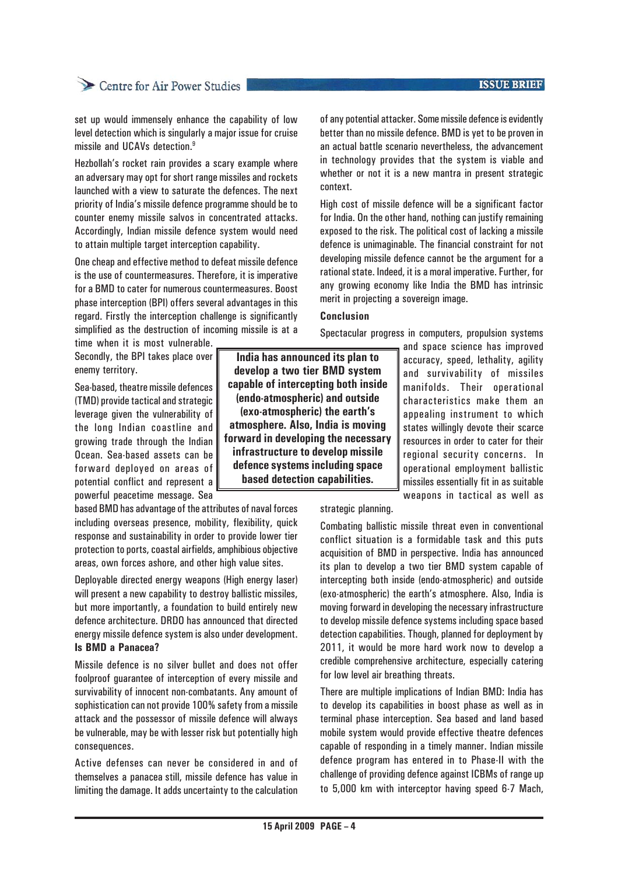# Centre for Air Power Studies

set up would immensely enhance the capability of low level detection which is singularly a major issue for cruise missile and UCAVs detection.9

Hezbollah's rocket rain provides a scary example where an adversary may opt for short range missiles and rockets launched with a view to saturate the defences. The next priority of India's missile defence programme should be to counter enemy missile salvos in concentrated attacks. Accordingly, Indian missile defence system would need to attain multiple target interception capability.

One cheap and effective method to defeat missile defence is the use of countermeasures. Therefore, it is imperative for a BMD to cater for numerous countermeasures. Boost phase interception (BPI) offers several advantages in this regard. Firstly the interception challenge is significantly simplified as the destruction of incoming missile is at a

time when it is most vulnerable. Secondly, the BPI takes place over enemy territory.

Sea-based, theatre missile defences (TMD) provide tactical and strategic leverage given the vulnerability of the long Indian coastline and growing trade through the Indian Ocean. Sea-based assets can be forward deployed on areas of potential conflict and represent a powerful peacetime message. Sea

based BMD has advantage of the attributes of naval forces including overseas presence, mobility, flexibility, quick response and sustainability in order to provide lower tier protection to ports, coastal airfields, amphibious objective areas, own forces ashore, and other high value sites.

Deployable directed energy weapons (High energy laser) will present a new capability to destroy ballistic missiles, but more importantly, a foundation to build entirely new defence architecture. DRDO has announced that directed energy missile defence system is also under development. **Is BMD a Panacea?**

Missile defence is no silver bullet and does not offer foolproof guarantee of interception of every missile and survivability of innocent non-combatants. Any amount of sophistication can not provide 100% safety from a missile attack and the possessor of missile defence will always be vulnerable, may be with lesser risk but potentially high consequences.

Active defenses can never be considered in and of themselves a panacea still, missile defence has value in limiting the damage. It adds uncertainty to the calculation

of any potential attacker. Some missile defence is evidently better than no missile defence. BMD is yet to be proven in an actual battle scenario nevertheless, the advancement in technology provides that the system is viable and whether or not it is a new mantra in present strategic context.

High cost of missile defence will be a significant factor for India. On the other hand, nothing can justify remaining exposed to the risk. The political cost of lacking a missile defence is unimaginable. The financial constraint for not developing missile defence cannot be the argument for a rational state. Indeed, it is a moral imperative. Further, for any growing economy like India the BMD has intrinsic merit in projecting a sovereign image.

### **Conclusion**

Spectacular progress in computers, propulsion systems

**India has announced its plan to develop a two tier BMD system capable of intercepting both inside (endo-atmospheric) and outside (exo-atmospheric) the earth's atmosphere. Also, India is moving forward in developing the necessary infrastructure to develop missile defence systems including space based detection capabilities.**

and space science has improved accuracy, speed, lethality, agility and survivability of missiles manifolds. Their operational characteristics make them an appealing instrument to which states willingly devote their scarce resources in order to cater for their regional security concerns. In operational employment ballistic missiles essentially fit in as suitable weapons in tactical as well as

strategic planning.

Combating ballistic missile threat even in conventional conflict situation is a formidable task and this puts acquisition of BMD in perspective. India has announced its plan to develop a two tier BMD system capable of intercepting both inside (endo-atmospheric) and outside (exo-atmospheric) the earth's atmosphere. Also, India is moving forward in developing the necessary infrastructure to develop missile defence systems including space based detection capabilities. Though, planned for deployment by 2011, it would be more hard work now to develop a credible comprehensive architecture, especially catering for low level air breathing threats.

There are multiple implications of Indian BMD: India has to develop its capabilities in boost phase as well as in terminal phase interception. Sea based and land based mobile system would provide effective theatre defences capable of responding in a timely manner. Indian missile defence program has entered in to Phase-II with the challenge of providing defence against ICBMs of range up to 5,000 km with interceptor having speed 6-7 Mach,

### **ISSUE BRIEF**